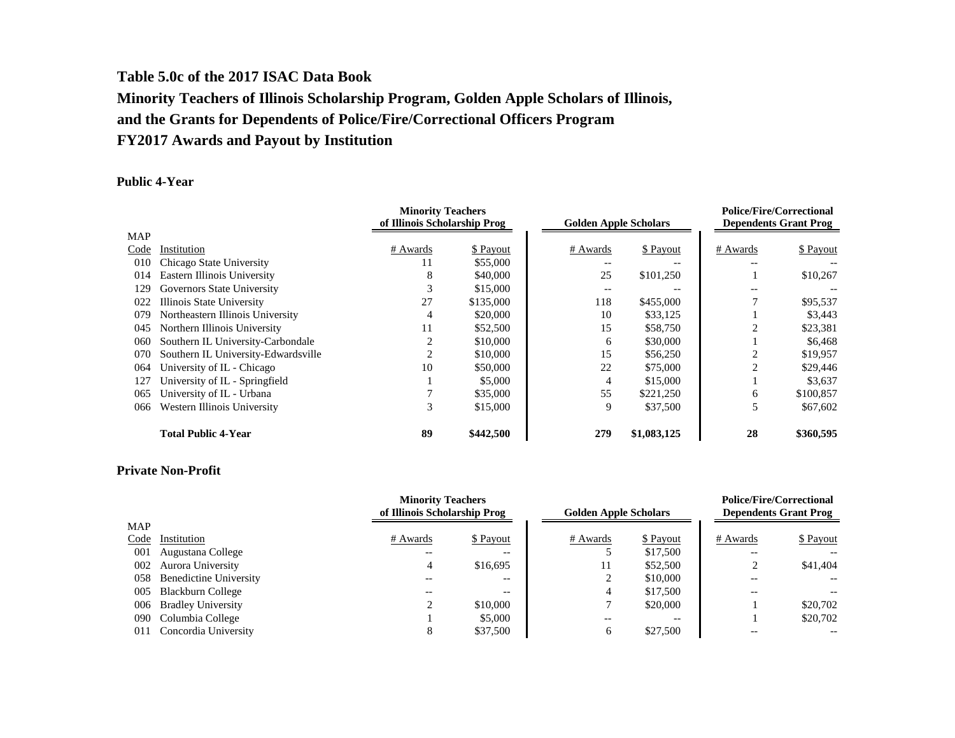# **Table 5.0c of the 2017 ISAC Data Book Minority Teachers of Illinois Scholarship Program, Golden Apple Scholars of Illinois, and the Grants for Dependents of Police/Fire/Correctional Officers Program FY2017 Awards and Payout by Institution**

#### **Public 4-Year**

|            |                                     | <b>Minority Teachers</b><br>of Illinois Scholarship Prog |           | <b>Golden Apple Scholars</b> |             | <b>Police/Fire/Correctional</b><br><b>Dependents Grant Prog</b> |           |
|------------|-------------------------------------|----------------------------------------------------------|-----------|------------------------------|-------------|-----------------------------------------------------------------|-----------|
| <b>MAP</b> |                                     |                                                          |           |                              |             |                                                                 |           |
| Code       | Institution                         | # Awards                                                 | \$ Payout | # Awards                     | \$ Payout   | # Awards                                                        | \$ Payout |
| 010        | Chicago State University            | 11                                                       | \$55,000  |                              | $- -$       |                                                                 |           |
| 014        | Eastern Illinois University         | 8                                                        | \$40,000  | 25                           | \$101,250   |                                                                 | \$10,267  |
| 129        | Governors State University          |                                                          | \$15,000  |                              |             |                                                                 |           |
| 022        | Illinois State University           | 27                                                       | \$135,000 | 118                          | \$455,000   |                                                                 | \$95,537  |
| 079        | Northeastern Illinois University    |                                                          | \$20,000  | 10                           | \$33,125    |                                                                 | \$3,443   |
| 045        | Northern Illinois University        | 11                                                       | \$52,500  | 15                           | \$58,750    |                                                                 | \$23,381  |
| 060        | Southern IL University-Carbondale   |                                                          | \$10,000  | 6                            | \$30,000    |                                                                 | \$6,468   |
| 070        | Southern IL University-Edwardsville |                                                          | \$10,000  | 15                           | \$56,250    |                                                                 | \$19,957  |
| 064        | University of IL - Chicago          | 10                                                       | \$50,000  | 22                           | \$75,000    |                                                                 | \$29,446  |
| 127        | University of IL - Springfield      |                                                          | \$5,000   | 4                            | \$15,000    |                                                                 | \$3,637   |
| 065        | University of IL - Urbana           |                                                          | \$35,000  | 55                           | \$221,250   | 6                                                               | \$100,857 |
| 066        | Western Illinois University         | 3                                                        | \$15,000  | 9                            | \$37,500    | 5                                                               | \$67,602  |
|            | <b>Total Public 4-Year</b>          | 89                                                       | \$442,500 | 279                          | \$1,083,125 | 28                                                              | \$360,595 |

### **Private Non-Profit**

|      |                            |          | <b>Minority Teachers</b>     |          |                              |          | <b>Police/Fire/Correctional</b> |
|------|----------------------------|----------|------------------------------|----------|------------------------------|----------|---------------------------------|
|      |                            |          | of Illinois Scholarship Prog |          | <b>Golden Apple Scholars</b> |          | <b>Dependents Grant Prog</b>    |
| MAP  |                            |          |                              |          |                              |          |                                 |
| Code | Institution                | # Awards | \$ Payout                    | # Awards | \$ Payout                    | # Awards | \$ Payout                       |
| 001  | Augustana College          | $- -$    | $\overline{\phantom{m}}$     |          | \$17,500                     | $- -$    |                                 |
| 002  | Aurora University          | 4        | \$16,695                     | 11       | \$52,500                     | ◠        | \$41,404                        |
|      | 058 Benedictine University |          | --                           |          | \$10,000                     |          |                                 |
|      | 005 Blackburn College      |          | --                           | 4        | \$17,500                     |          |                                 |
| 006  | <b>Bradley University</b>  |          | \$10,000                     |          | \$20,000                     |          | \$20,702                        |
|      | 090 Columbia College       |          | \$5,000                      | --       | $- -$                        |          | \$20,702                        |
|      | 011 Concordia University   |          | \$37,500                     | 6        | \$27,500                     |          |                                 |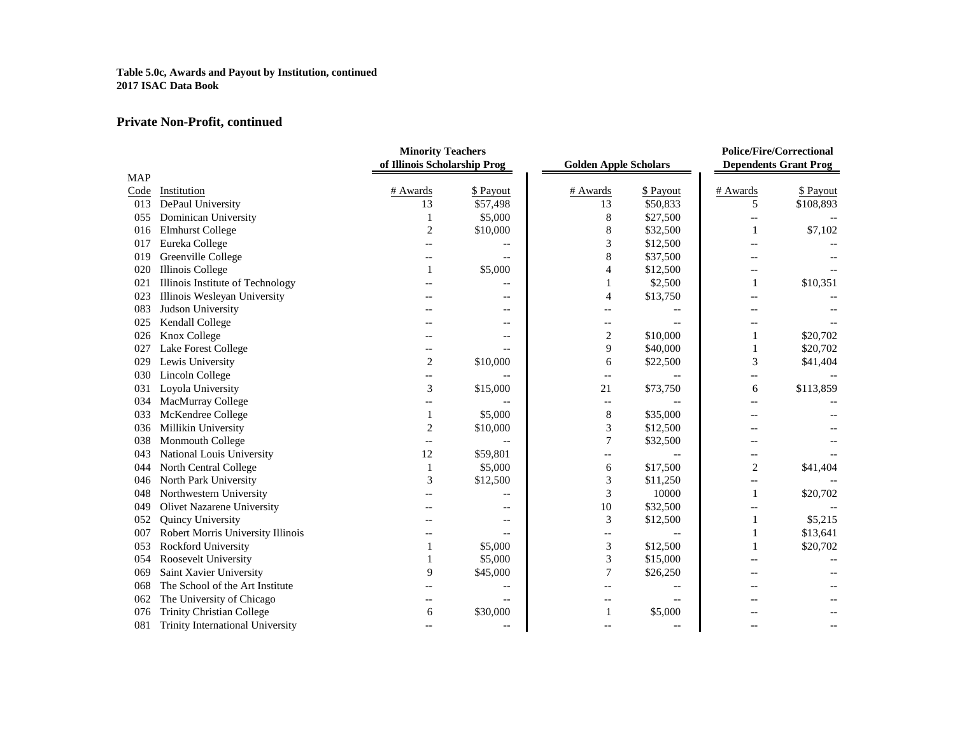#### **Table 5.0c, Awards and Payout by Institution, continued 2017 ISAC Data Book**

# **Private Non-Profit, continued**

|            |                                   | <b>Minority Teachers</b>     |           |                              |                   | <b>Police/Fire/Correctional</b> |           |
|------------|-----------------------------------|------------------------------|-----------|------------------------------|-------------------|---------------------------------|-----------|
|            |                                   | of Illinois Scholarship Prog |           | <b>Golden Apple Scholars</b> |                   | <b>Dependents Grant Prog</b>    |           |
| <b>MAP</b> |                                   |                              |           |                              |                   |                                 |           |
| Code       | Institution                       | # Awards                     | \$ Payout | # Awards                     | \$ Payout         | # Awards                        | \$ Payout |
| 013        | DePaul University                 | 13                           | \$57,498  | 13                           | \$50,833          | 5                               | \$108,893 |
| 055        | Dominican University              |                              | \$5,000   | 8                            | \$27,500          |                                 |           |
| 016        | <b>Elmhurst College</b>           | 2                            | \$10,000  | 8                            | \$32,500          | 1                               | \$7,102   |
| 017        | Eureka College                    |                              |           | 3                            | \$12,500          |                                 |           |
| 019        | Greenville College                |                              |           | 8                            | \$37,500          |                                 |           |
| 020        | <b>Illinois College</b>           | 1                            | \$5,000   | 4                            | \$12,500          |                                 |           |
| 021        | Illinois Institute of Technology  |                              |           | 1                            | \$2,500           | 1                               | \$10,351  |
| 023        | Illinois Wesleyan University      |                              |           | 4                            | \$13,750          |                                 |           |
| 083        | Judson University                 |                              |           |                              |                   |                                 |           |
| 025        | Kendall College                   |                              |           | $-\,-$                       |                   |                                 |           |
| 026        | Knox College                      |                              |           | 2                            | \$10,000          | $\mathbf{1}$                    | \$20,702  |
| 027        | Lake Forest College               |                              |           | 9                            | \$40,000          | 1                               | \$20,702  |
| 029        | Lewis University                  | $\overline{2}$               | \$10,000  | 6                            | \$22,500          | 3                               | \$41,404  |
| 030        | Lincoln College                   | --                           |           | $\overline{\phantom{m}}$     |                   | $-$                             |           |
| 031        | Loyola University                 | 3                            | \$15,000  | 21                           | \$73,750          | 6                               | \$113,859 |
| 034        | MacMurray College                 |                              |           | $-\,-$                       |                   |                                 |           |
| 033        | McKendree College                 | 1                            | \$5,000   | 8                            | \$35,000          |                                 |           |
| 036        | Millikin University               | $\overline{2}$               | \$10,000  | 3                            | \$12,500          |                                 |           |
| 038        | Monmouth College                  | $-$                          |           | 7                            | \$32,500          |                                 |           |
| 043        | National Louis University         | 12                           | \$59,801  |                              |                   |                                 |           |
| 044        | North Central College             | 1                            | \$5,000   | 6                            | \$17,500          | $\overline{2}$                  | \$41,404  |
| 046        | North Park University             | 3                            | \$12,500  | 3                            | \$11,250          |                                 |           |
| 048        | Northwestern University           |                              |           | 3                            | 10000             | 1                               | \$20,702  |
| 049        | <b>Olivet Nazarene University</b> |                              |           | 10                           | \$32,500          |                                 |           |
| 052        | Quincy University                 |                              |           | 3                            | \$12,500          | 1                               | \$5,215   |
| 007        | Robert Morris University Illinois |                              |           | $-$                          |                   |                                 | \$13,641  |
| 053        | Rockford University               |                              | \$5,000   | 3                            | \$12,500          |                                 | \$20,702  |
| 054        | Roosevelt University              |                              | \$5,000   | 3                            | \$15,000          |                                 |           |
| 069        | Saint Xavier University           | 9                            | \$45,000  | 7                            | \$26,250          |                                 |           |
| 068        | The School of the Art Institute   |                              |           |                              |                   |                                 |           |
| 062        | The University of Chicago         |                              |           |                              |                   |                                 |           |
| 076        | <b>Trinity Christian College</b>  | 6                            | \$30,000  | 1                            | \$5,000           |                                 |           |
| 081        | Trinity International University  |                              | --        |                              | $\qquad \qquad -$ |                                 |           |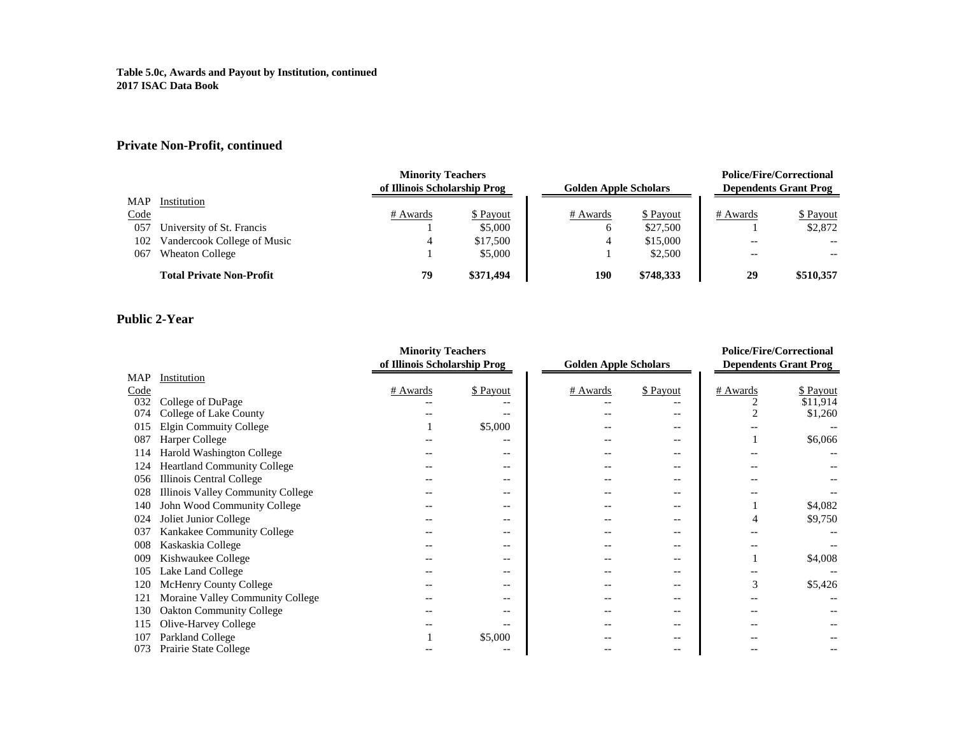#### **Table 5.0c, Awards and Payout by Institution, continued 2017 ISAC Data Book**

# **Private Non-Profit, continued**

|      | <b>Minority Teachers</b>        |                              |           |                              |           | <b>Police/Fire/Correctional</b> |           |
|------|---------------------------------|------------------------------|-----------|------------------------------|-----------|---------------------------------|-----------|
|      |                                 | of Illinois Scholarship Prog |           | <b>Golden Apple Scholars</b> |           | <b>Dependents Grant Prog</b>    |           |
| MAP  | Institution                     |                              |           |                              |           |                                 |           |
| Code |                                 | # Awards                     | \$ Payout | # Awards                     | \$ Payout | # Awards                        | \$ Payout |
| 057  | University of St. Francis       |                              | \$5,000   | 6                            | \$27,500  |                                 | \$2,872   |
| 102  | Vandercook College of Music     | 4                            | \$17,500  | 4                            | \$15,000  | $- -$                           | $- -$     |
| 067  | <b>Wheaton College</b>          |                              | \$5,000   |                              | \$2,500   | $- -$                           | $- -$     |
|      | <b>Total Private Non-Profit</b> | 79                           | \$371,494 | 190                          | \$748,333 | 29                              | \$510,357 |

### **Public 2-Year**

|            |                                          | <b>Minority Teachers</b>     |           |                              |           | <b>Police/Fire/Correctional</b> |                              |
|------------|------------------------------------------|------------------------------|-----------|------------------------------|-----------|---------------------------------|------------------------------|
|            |                                          | of Illinois Scholarship Prog |           | <b>Golden Apple Scholars</b> |           |                                 | <b>Dependents Grant Prog</b> |
| <b>MAP</b> | Institution                              |                              |           |                              |           |                                 |                              |
| Code       |                                          | # Awards                     | \$ Payout | # Awards                     | \$ Payout | # Awards                        | \$ Payout                    |
| 032        | College of DuPage                        |                              |           |                              |           |                                 | \$11,914                     |
| 074        | College of Lake County                   |                              |           |                              | --        |                                 | \$1,260                      |
| 015        | Elgin Commuity College                   |                              | \$5,000   |                              |           |                                 |                              |
| 087        | <b>Harper College</b>                    |                              |           |                              | --        |                                 | \$6,066                      |
| 114        | Harold Washington College                |                              |           |                              |           |                                 |                              |
| 124        | <b>Heartland Community College</b>       |                              |           |                              | --        |                                 |                              |
| 056        | Illinois Central College                 |                              |           |                              | --        |                                 |                              |
| 028        | <b>Illinois Valley Community College</b> |                              |           |                              |           |                                 |                              |
| 140        | John Wood Community College              |                              | $-$       |                              | --        |                                 | \$4,082                      |
| 024        | Joliet Junior College                    |                              |           |                              |           |                                 | \$9,750                      |
| 037        | Kankakee Community College               |                              |           |                              |           |                                 |                              |
| 008        | Kaskaskia College                        |                              |           |                              |           |                                 |                              |
| 009        | Kishwaukee College                       |                              | $- -$     |                              | --        |                                 | \$4,008                      |
| 105        | Lake Land College                        |                              | $- -$     |                              | --        |                                 |                              |
| 120        | <b>McHenry County College</b>            |                              |           |                              | --        | 3                               | \$5,426                      |
| 121        | Moraine Valley Community College         |                              |           |                              | --        |                                 |                              |
| 130        | <b>Oakton Community College</b>          |                              |           |                              |           |                                 |                              |
| 115        | Olive-Harvey College                     |                              |           |                              |           |                                 |                              |
| 107        | Parkland College                         |                              | \$5,000   |                              |           |                                 |                              |
| 073        | Prairie State College                    |                              |           |                              | --        |                                 |                              |